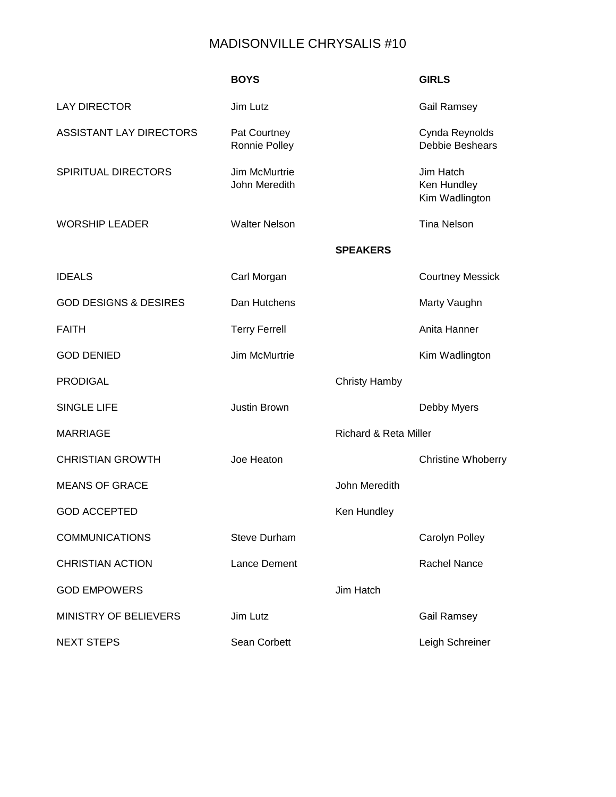## MADISONVILLE CHRYSALIS #10

|                                  | <b>BOYS</b>                    |                                  | <b>GIRLS</b>                               |
|----------------------------------|--------------------------------|----------------------------------|--------------------------------------------|
| <b>LAY DIRECTOR</b>              | Jim Lutz                       |                                  | <b>Gail Ramsey</b>                         |
| <b>ASSISTANT LAY DIRECTORS</b>   | Pat Courtney<br>Ronnie Polley  |                                  | Cynda Reynolds<br><b>Debbie Beshears</b>   |
| <b>SPIRITUAL DIRECTORS</b>       | Jim McMurtrie<br>John Meredith |                                  | Jim Hatch<br>Ken Hundley<br>Kim Wadlington |
| <b>WORSHIP LEADER</b>            | <b>Walter Nelson</b>           |                                  | <b>Tina Nelson</b>                         |
|                                  |                                | <b>SPEAKERS</b>                  |                                            |
| <b>IDEALS</b>                    | Carl Morgan                    |                                  | <b>Courtney Messick</b>                    |
| <b>GOD DESIGNS &amp; DESIRES</b> | Dan Hutchens                   |                                  | Marty Vaughn                               |
| <b>FAITH</b>                     | <b>Terry Ferrell</b>           |                                  | Anita Hanner                               |
| <b>GOD DENIED</b>                | Jim McMurtrie                  |                                  | Kim Wadlington                             |
| <b>PRODIGAL</b>                  |                                | <b>Christy Hamby</b>             |                                            |
| <b>SINGLE LIFE</b>               | <b>Justin Brown</b>            |                                  | Debby Myers                                |
| <b>MARRIAGE</b>                  |                                | <b>Richard &amp; Reta Miller</b> |                                            |
| <b>CHRISTIAN GROWTH</b>          | Joe Heaton                     |                                  | <b>Christine Whoberry</b>                  |
| <b>MEANS OF GRACE</b>            |                                | John Meredith                    |                                            |
| <b>GOD ACCEPTED</b>              |                                | Ken Hundley                      |                                            |
| <b>COMMUNICATIONS</b>            | <b>Steve Durham</b>            |                                  | Carolyn Polley                             |
| <b>CHRISTIAN ACTION</b>          | <b>Lance Dement</b>            |                                  | <b>Rachel Nance</b>                        |
| <b>GOD EMPOWERS</b>              |                                | Jim Hatch                        |                                            |
| <b>MINISTRY OF BELIEVERS</b>     | Jim Lutz                       |                                  | <b>Gail Ramsey</b>                         |
| <b>NEXT STEPS</b>                | Sean Corbett                   |                                  | Leigh Schreiner                            |